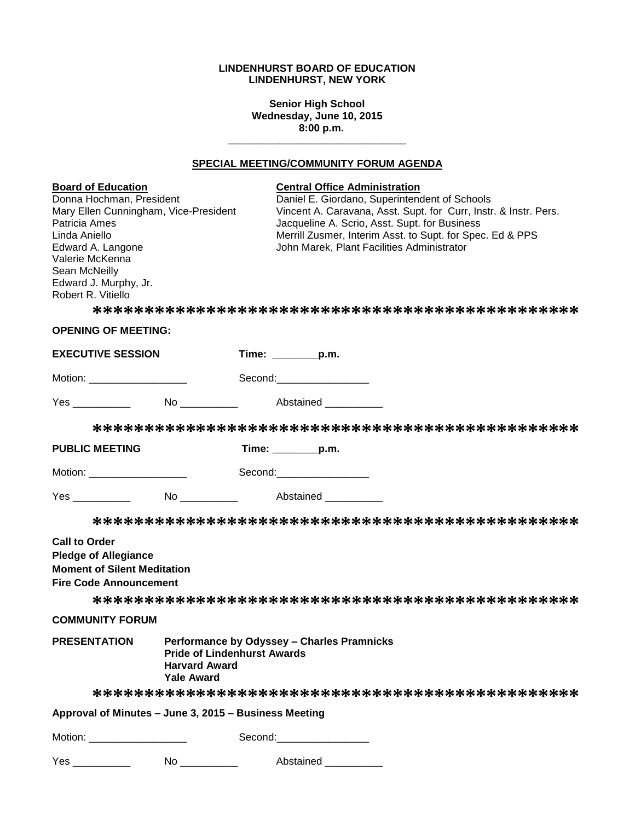## **LINDENHURST BOARD OF EDUCATION LINDENHURST, NEW YORK**

**Senior High School Wednesday, June 10, 2015 8:00 p.m.**

# **SPECIAL MEETING/COMMUNITY FORUM AGENDA**

**\_\_\_\_\_\_\_\_\_\_\_\_\_\_\_\_\_\_\_\_\_\_\_\_\_\_\_\_\_\_\_**

| <b>Board of Education</b><br>Donna Hochman, President<br>Mary Ellen Cunningham, Vice-President<br>Patricia Ames<br>Linda Aniello<br>Edward A. Langone<br>Valerie McKenna<br>Sean McNeilly<br>Edward J. Murphy, Jr.<br>Robert R. Vitiello<br><b>OPENING OF MEETING:</b> |                                                                                 | <b>Central Office Administration</b><br>Daniel E. Giordano, Superintendent of Schools<br>Vincent A. Caravana, Asst. Supt. for Curr, Instr. & Instr. Pers.<br>Jacqueline A. Scrio, Asst. Supt. for Business<br>Merrill Zusmer, Interim Asst. to Supt. for Spec. Ed & PPS<br>John Marek, Plant Facilities Administrator |
|------------------------------------------------------------------------------------------------------------------------------------------------------------------------------------------------------------------------------------------------------------------------|---------------------------------------------------------------------------------|-----------------------------------------------------------------------------------------------------------------------------------------------------------------------------------------------------------------------------------------------------------------------------------------------------------------------|
| <b>EXECUTIVE SESSION</b>                                                                                                                                                                                                                                               |                                                                                 | Time: ________p.m.                                                                                                                                                                                                                                                                                                    |
| Motion: ____________________                                                                                                                                                                                                                                           |                                                                                 | Second: Second:                                                                                                                                                                                                                                                                                                       |
| <b>Yes</b> and the state of the state of the state of the state of the state of the state of the state of the state of the state of the state of the state of the state of the state of the state of the state of the state of the                                     |                                                                                 | No Abstained                                                                                                                                                                                                                                                                                                          |
|                                                                                                                                                                                                                                                                        |                                                                                 |                                                                                                                                                                                                                                                                                                                       |
| <b>PUBLIC MEETING</b>                                                                                                                                                                                                                                                  |                                                                                 | Time: _________p.m.                                                                                                                                                                                                                                                                                                   |
| Motion: ______________________                                                                                                                                                                                                                                         |                                                                                 | Second: the contract of the contract of the contract of the contract of the contract of the contract of the contract of the contract of the contract of the contract of the contract of the contract of the contract of the co                                                                                        |
| Yes ____________                                                                                                                                                                                                                                                       |                                                                                 | Abstained                                                                                                                                                                                                                                                                                                             |
|                                                                                                                                                                                                                                                                        |                                                                                 |                                                                                                                                                                                                                                                                                                                       |
| <b>Call to Order</b><br><b>Pledge of Allegiance</b><br><b>Moment of Silent Meditation</b><br><b>Fire Code Announcement</b>                                                                                                                                             |                                                                                 |                                                                                                                                                                                                                                                                                                                       |
|                                                                                                                                                                                                                                                                        |                                                                                 |                                                                                                                                                                                                                                                                                                                       |
| <b>COMMUNITY FORUM</b>                                                                                                                                                                                                                                                 |                                                                                 |                                                                                                                                                                                                                                                                                                                       |
| <b>PRESENTATION</b>                                                                                                                                                                                                                                                    | <b>Pride of Lindenhurst Awards</b><br><b>Harvard Award</b><br><b>Yale Award</b> | Performance by Odyssey - Charles Pramnicks                                                                                                                                                                                                                                                                            |
|                                                                                                                                                                                                                                                                        |                                                                                 |                                                                                                                                                                                                                                                                                                                       |
| Approval of Minutes - June 3, 2015 - Business Meeting                                                                                                                                                                                                                  |                                                                                 |                                                                                                                                                                                                                                                                                                                       |
| Motion: _____________________                                                                                                                                                                                                                                          |                                                                                 | Second: Second:                                                                                                                                                                                                                                                                                                       |
| Yes ___________                                                                                                                                                                                                                                                        |                                                                                 | No _______________ Abstained ___________                                                                                                                                                                                                                                                                              |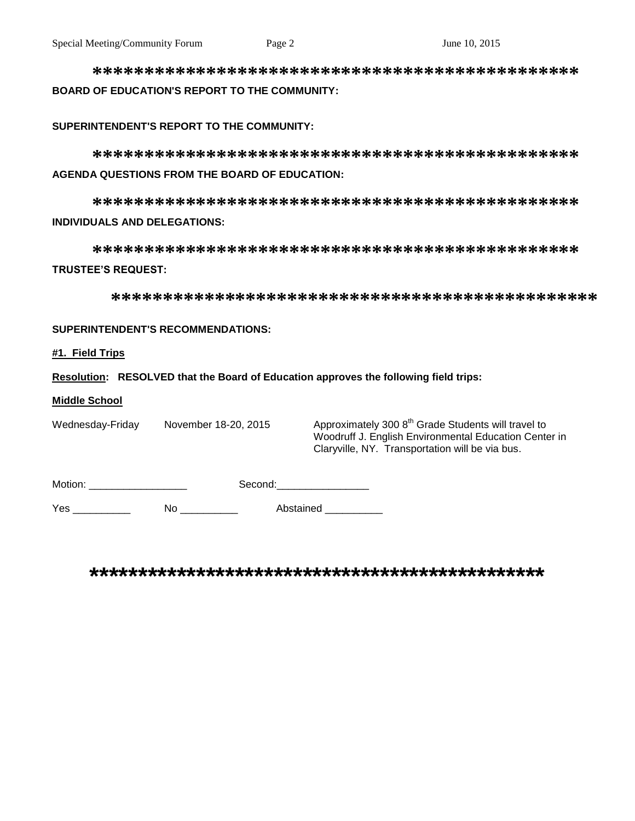**\*\*\*\*\*\*\*\*\*\*\*\*\*\*\*\*\*\*\*\*\*\*\*\*\*\*\*\*\*\*\*\*\*\*\*\*\*\*\*\*\*\*\*\*\*\*\* BOARD OF EDUCATION'S REPORT TO THE COMMUNITY:**

#### **SUPERINTENDENT'S REPORT TO THE COMMUNITY:**

**\*\*\*\*\*\*\*\*\*\*\*\*\*\*\*\*\*\*\*\*\*\*\*\*\*\*\*\*\*\*\*\*\*\*\*\*\*\*\*\*\*\*\*\*\*\*\* AGENDA QUESTIONS FROM THE BOARD OF EDUCATION:**

**\*\*\*\*\*\*\*\*\*\*\*\*\*\*\*\*\*\*\*\*\*\*\*\*\*\*\*\*\*\*\*\*\*\*\*\*\*\*\*\*\*\*\*\*\*\*\* INDIVIDUALS AND DELEGATIONS:**

**\*\*\*\*\*\*\*\*\*\*\*\*\*\*\*\*\*\*\*\*\*\*\*\*\*\*\*\*\*\*\*\*\*\*\*\*\*\*\*\*\*\*\*\*\*\*\* TRUSTEE'S REQUEST:**

**\*\*\*\*\*\*\*\*\*\*\*\*\*\*\*\*\*\*\*\*\*\*\*\*\*\*\*\*\*\*\*\*\*\*\*\*\*\*\*\*\*\*\*\*\*\*\***

### **SUPERINTENDENT'S RECOMMENDATIONS:**

#### **#1. Field Trips**

**Resolution: RESOLVED that the Board of Education approves the following field trips:**

#### **Middle School**

Wednesday-Friday November 18-20, 2015 Approximately 300 8<sup>th</sup> Grade Students will travel to Woodruff J. English Environmental Education Center in Claryville, NY. Transportation will be via bus.

| Motion: | Second: |
|---------|---------|
|         |         |

Yes \_\_\_\_\_\_\_\_\_\_\_\_ No \_\_\_\_\_\_\_\_\_ Abstained \_\_\_\_\_\_\_\_

**\*\*\*\*\*\*\*\*\*\*\*\*\*\*\*\*\*\*\*\*\*\*\*\*\*\*\*\*\*\*\*\*\*\*\*\*\*\*\*\*\*\*\*\*\*\*\***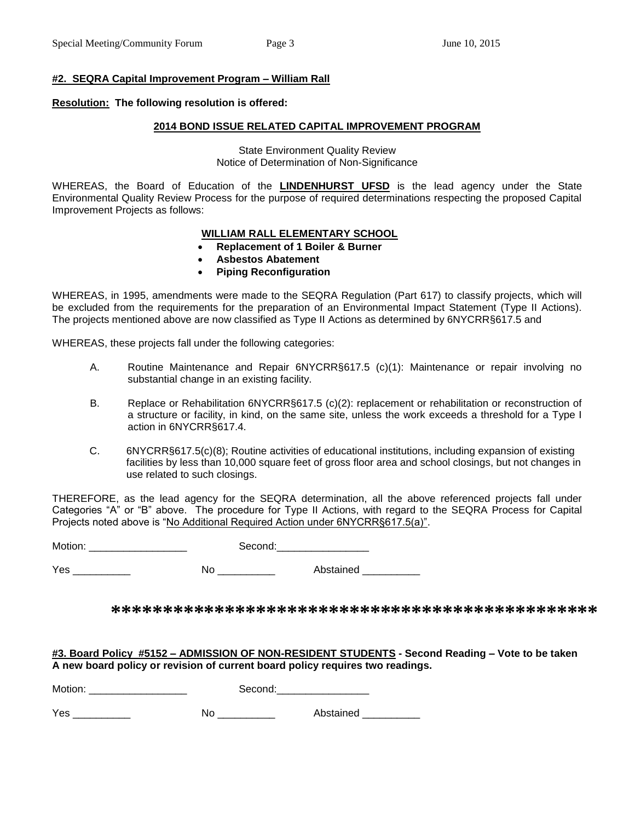#### **#2. SEQRA Capital Improvement Program – William Rall**

# **Resolution: The following resolution is offered:**

# **2014 BOND ISSUE RELATED CAPITAL IMPROVEMENT PROGRAM**

State Environment Quality Review Notice of Determination of Non-Significance

WHEREAS, the Board of Education of the **LINDENHURST UFSD** is the lead agency under the State Environmental Quality Review Process for the purpose of required determinations respecting the proposed Capital Improvement Projects as follows:

# **WILLIAM RALL ELEMENTARY SCHOOL**

- **Replacement of 1 Boiler & Burner**
- **Asbestos Abatement**
- **Piping Reconfiguration**

WHEREAS, in 1995, amendments were made to the SEQRA Regulation (Part 617) to classify projects, which will be excluded from the requirements for the preparation of an Environmental Impact Statement (Type II Actions). The projects mentioned above are now classified as Type II Actions as determined by 6NYCRR§617.5 and

WHEREAS, these projects fall under the following categories:

- A. Routine Maintenance and Repair 6NYCRR§617.5 (c)(1): Maintenance or repair involving no substantial change in an existing facility.
- B. Replace or Rehabilitation 6NYCRR§617.5 (c)(2): replacement or rehabilitation or reconstruction of a structure or facility, in kind, on the same site, unless the work exceeds a threshold for a Type I action in 6NYCRR§617.4.
- C. 6NYCRR§617.5(c)(8); Routine activities of educational institutions, including expansion of existing facilities by less than 10,000 square feet of gross floor area and school closings, but not changes in use related to such closings.

THEREFORE, as the lead agency for the SEQRA determination, all the above referenced projects fall under Categories "A" or "B" above. The procedure for Type II Actions, with regard to the SEQRA Process for Capital Projects noted above is "No Additional Required Action under 6NYCRR§617.5(a)".

Motion: \_\_\_\_\_\_\_\_\_\_\_\_\_\_\_\_\_ Second:\_\_\_\_\_\_\_\_\_\_\_\_\_\_\_\_

Yes \_\_\_\_\_\_\_\_\_\_\_\_\_ No \_\_\_\_\_\_\_\_\_\_ Abstained \_\_\_\_\_\_\_\_\_\_

**\*\*\*\*\*\*\*\*\*\*\*\*\*\*\*\*\*\*\*\*\*\*\*\*\*\*\*\*\*\*\*\*\*\*\*\*\*\*\*\*\*\*\*\*\*\*\***

**#3. Board Policy #5152 – ADMISSION OF NON-RESIDENT STUDENTS - Second Reading – Vote to be taken A new board policy or revision of current board policy requires two readings.**

| Motion: | Second: |
|---------|---------|
|---------|---------|

| $V_{\alpha}$ | M | istained |
|--------------|---|----------|
| ື            |   | ____     |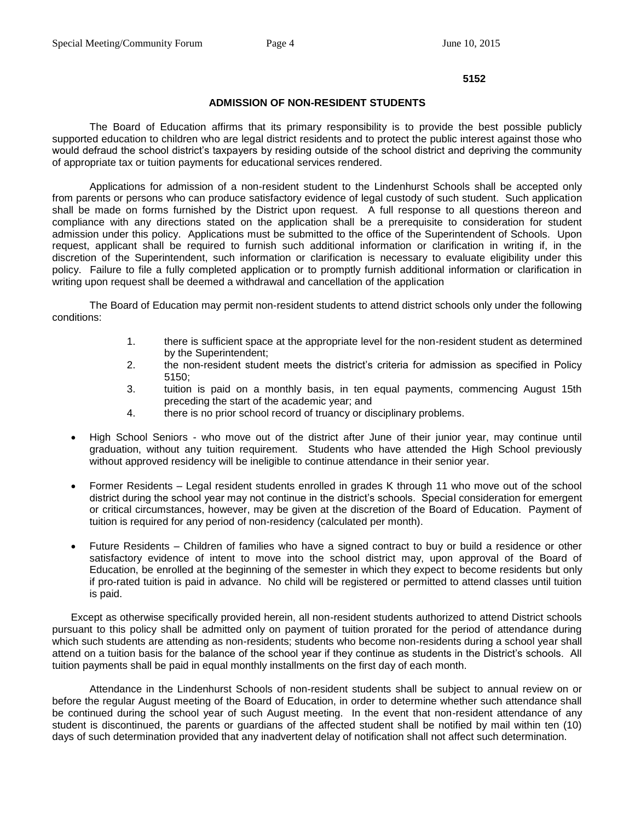#### **5152**

#### **ADMISSION OF NON-RESIDENT STUDENTS**

The Board of Education affirms that its primary responsibility is to provide the best possible publicly supported education to children who are legal district residents and to protect the public interest against those who would defraud the school district's taxpayers by residing outside of the school district and depriving the community of appropriate tax or tuition payments for educational services rendered.

Applications for admission of a non-resident student to the Lindenhurst Schools shall be accepted only from parents or persons who can produce satisfactory evidence of legal custody of such student. Such application shall be made on forms furnished by the District upon request. A full response to all questions thereon and compliance with any directions stated on the application shall be a prerequisite to consideration for student admission under this policy. Applications must be submitted to the office of the Superintendent of Schools. Upon request, applicant shall be required to furnish such additional information or clarification in writing if, in the discretion of the Superintendent, such information or clarification is necessary to evaluate eligibility under this policy. Failure to file a fully completed application or to promptly furnish additional information or clarification in writing upon request shall be deemed a withdrawal and cancellation of the application

The Board of Education may permit non-resident students to attend district schools only under the following conditions:

- 1. there is sufficient space at the appropriate level for the non-resident student as determined by the Superintendent;
- 2. the non-resident student meets the district's criteria for admission as specified in Policy 5150;
- 3. tuition is paid on a monthly basis, in ten equal payments, commencing August 15th preceding the start of the academic year; and
- 4. there is no prior school record of truancy or disciplinary problems.
- High School Seniors who move out of the district after June of their junior year, may continue until graduation, without any tuition requirement. Students who have attended the High School previously without approved residency will be ineligible to continue attendance in their senior year.
- Former Residents Legal resident students enrolled in grades K through 11 who move out of the school district during the school year may not continue in the district's schools. Special consideration for emergent or critical circumstances, however, may be given at the discretion of the Board of Education. Payment of tuition is required for any period of non-residency (calculated per month).
- Future Residents Children of families who have a signed contract to buy or build a residence or other satisfactory evidence of intent to move into the school district may, upon approval of the Board of Education, be enrolled at the beginning of the semester in which they expect to become residents but only if pro-rated tuition is paid in advance. No child will be registered or permitted to attend classes until tuition is paid.

Except as otherwise specifically provided herein, all non-resident students authorized to attend District schools pursuant to this policy shall be admitted only on payment of tuition prorated for the period of attendance during which such students are attending as non-residents; students who become non-residents during a school year shall attend on a tuition basis for the balance of the school year if they continue as students in the District's schools. All tuition payments shall be paid in equal monthly installments on the first day of each month.

Attendance in the Lindenhurst Schools of non-resident students shall be subject to annual review on or before the regular August meeting of the Board of Education, in order to determine whether such attendance shall be continued during the school year of such August meeting. In the event that non-resident attendance of any student is discontinued, the parents or guardians of the affected student shall be notified by mail within ten (10) days of such determination provided that any inadvertent delay of notification shall not affect such determination.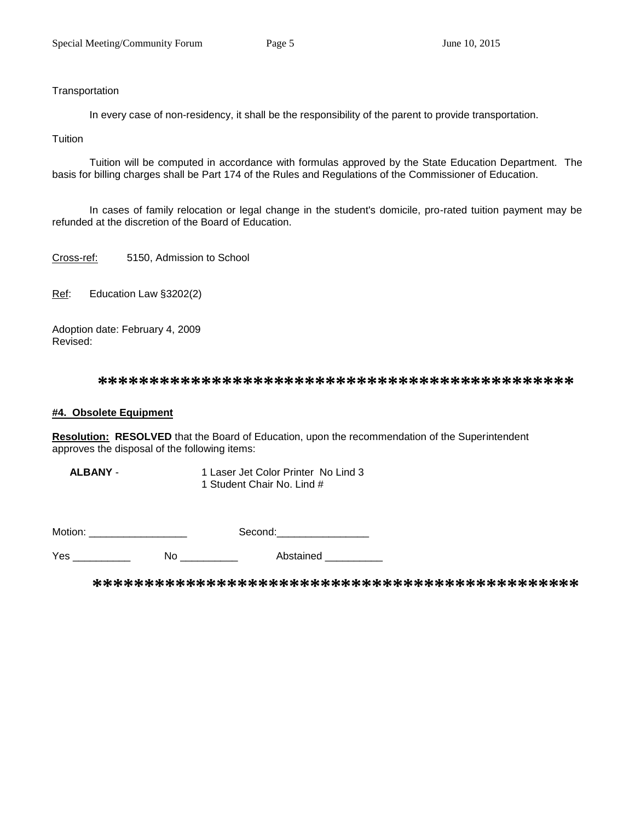# **Transportation**

In every case of non-residency, it shall be the responsibility of the parent to provide transportation.

### **Tuition**

Tuition will be computed in accordance with formulas approved by the State Education Department. The basis for billing charges shall be Part 174 of the Rules and Regulations of the Commissioner of Education.

In cases of family relocation or legal change in the student's domicile, pro-rated tuition payment may be refunded at the discretion of the Board of Education.

Cross-ref: 5150, Admission to School

Ref: Education Law §3202(2)

Adoption date: February 4, 2009 Revised:

**\*\*\*\*\*\*\*\*\*\*\*\*\*\*\*\*\*\*\*\*\*\*\*\*\*\*\*\*\*\*\*\*\*\*\*\*\*\*\*\*\*\*\*\*\*\***

## **#4. Obsolete Equipment**

**Resolution: RESOLVED** that the Board of Education, upon the recommendation of the Superintendent approves the disposal of the following items:

 **ALBANY** - 1 Laser Jet Color Printer No Lind 3 1 Student Chair No. Lind #

| Motion: | $\sim$ $\sim$ $\sim$ $\sim$ |
|---------|-----------------------------|
|---------|-----------------------------|

Yes \_\_\_\_\_\_\_\_\_\_\_\_\_\_ No \_\_\_\_\_\_\_\_\_\_\_\_ Abstained \_\_\_\_\_\_\_\_\_\_\_

**\*\*\*\*\*\*\*\*\*\*\*\*\*\*\*\*\*\*\*\*\*\*\*\*\*\*\*\*\*\*\*\*\*\*\*\*\*\*\*\*\*\*\*\*\*\*\***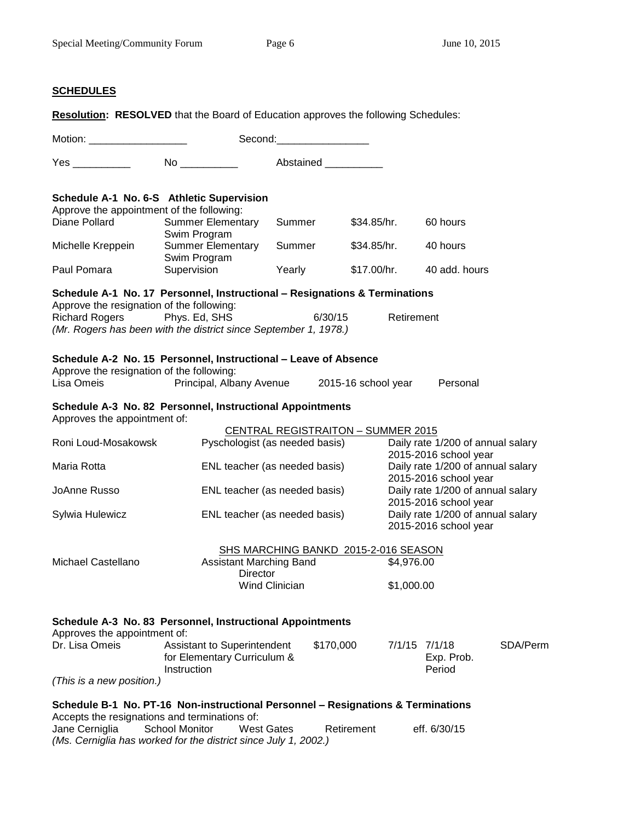# **SCHEDULES**

|                                                                                           |                                                                 |                       | Abstained ______                          |             |                                                            |          |
|-------------------------------------------------------------------------------------------|-----------------------------------------------------------------|-----------------------|-------------------------------------------|-------------|------------------------------------------------------------|----------|
| Schedule A-1 No. 6-S Athletic Supervision                                                 |                                                                 |                       |                                           |             |                                                            |          |
| Approve the appointment of the following:                                                 |                                                                 |                       |                                           |             |                                                            |          |
| Diane Pollard                                                                             | <b>Summer Elementary</b>                                        | Summer                | \$34.85/hr.                               |             | 60 hours                                                   |          |
|                                                                                           | Swim Program                                                    |                       |                                           |             |                                                            |          |
| Michelle Kreppein                                                                         | <b>Summer Elementary</b>                                        | Summer                | \$34.85/hr.                               |             | 40 hours                                                   |          |
| Paul Pomara                                                                               | Swim Program<br>Supervision                                     | Yearly                |                                           | \$17.00/hr. | 40 add. hours                                              |          |
|                                                                                           |                                                                 |                       |                                           |             |                                                            |          |
| Schedule A-1 No. 17 Personnel, Instructional - Resignations & Terminations                |                                                                 |                       |                                           |             |                                                            |          |
| Approve the resignation of the following:<br><b>Richard Rogers</b>                        |                                                                 |                       | 6/30/15                                   |             |                                                            |          |
| (Mr. Rogers has been with the district since September 1, 1978.)                          | Phys. Ed, SHS                                                   |                       |                                           | Retirement  |                                                            |          |
|                                                                                           |                                                                 |                       |                                           |             |                                                            |          |
| Schedule A-2 No. 15 Personnel, Instructional - Leave of Absence                           |                                                                 |                       |                                           |             |                                                            |          |
| Approve the resignation of the following:                                                 |                                                                 |                       |                                           |             |                                                            |          |
| Lisa Omeis                                                                                | Principal, Albany Avenue 2015-16 school year                    |                       |                                           |             | Personal                                                   |          |
| Schedule A-3 No. 82 Personnel, Instructional Appointments<br>Approves the appointment of: |                                                                 |                       |                                           |             |                                                            |          |
|                                                                                           |                                                                 |                       | <b>CENTRAL REGISTRAITON - SUMMER 2015</b> |             |                                                            |          |
| Roni Loud-Mosakowsk                                                                       | Pyschologist (as needed basis)                                  |                       |                                           |             | Daily rate 1/200 of annual salary                          |          |
|                                                                                           |                                                                 |                       |                                           |             | 2015-2016 school year                                      |          |
| Maria Rotta                                                                               | ENL teacher (as needed basis)                                   |                       |                                           |             | Daily rate 1/200 of annual salary                          |          |
| JoAnne Russo                                                                              | ENL teacher (as needed basis)                                   |                       |                                           |             | 2015-2016 school year<br>Daily rate 1/200 of annual salary |          |
|                                                                                           |                                                                 |                       |                                           |             | 2015-2016 school year                                      |          |
| Sylwia Hulewicz                                                                           | ENL teacher (as needed basis)                                   |                       |                                           |             | Daily rate 1/200 of annual salary                          |          |
|                                                                                           |                                                                 |                       |                                           |             | 2015-2016 school year                                      |          |
|                                                                                           |                                                                 |                       | SHS MARCHING BANKD 2015-2-016 SEASON      |             |                                                            |          |
| Michael Castellano                                                                        | Assistant Marching Band                                         |                       |                                           | \$4,976.00  |                                                            |          |
|                                                                                           |                                                                 | Director              |                                           |             |                                                            |          |
|                                                                                           |                                                                 | <b>Wind Clinician</b> |                                           | \$1,000.00  |                                                            |          |
|                                                                                           |                                                                 |                       |                                           |             |                                                            |          |
| Schedule A-3 No. 83 Personnel, Instructional Appointments                                 |                                                                 |                       |                                           |             |                                                            |          |
| Approves the appointment of:                                                              |                                                                 |                       |                                           |             |                                                            |          |
| Dr. Lisa Omeis                                                                            | Assistant to Superintendent                                     |                       | \$170,000                                 |             | 7/1/15 7/1/18                                              | SDA/Perm |
|                                                                                           | for Elementary Curriculum &                                     |                       |                                           |             | Exp. Prob.                                                 |          |
|                                                                                           | Instruction                                                     |                       |                                           |             | Period                                                     |          |
| (This is a new position.)                                                                 |                                                                 |                       |                                           |             |                                                            |          |
| Schedule B-1 No. PT-16 Non-instructional Personnel - Resignations & Terminations          |                                                                 |                       |                                           |             |                                                            |          |
| Accepts the resignations and terminations of:                                             |                                                                 |                       |                                           |             |                                                            |          |
| Jane Cerniglia                                                                            | <b>School Monitor</b><br><b>West Gates</b>                      |                       | Retirement                                |             | eff. 6/30/15                                               |          |
|                                                                                           | (Ms. Cerniglia has worked for the district since July 1, 2002.) |                       |                                           |             |                                                            |          |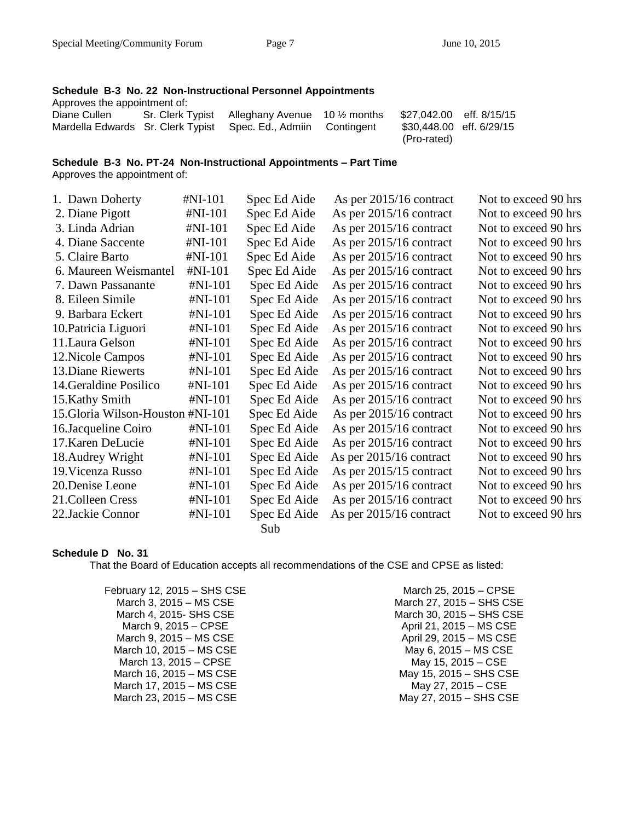#### **Schedule B-3 No. 22 Non-Instructional Personnel Appointments** Approves the appointment of:

| <i>reproved the appointment on.</i> |                                                                |                          |  |
|-------------------------------------|----------------------------------------------------------------|--------------------------|--|
| Diane Cullen                        | Sr. Clerk Typist Alleghany Avenue $10\frac{1}{2}$ months       | \$27,042.00 eff. 8/15/15 |  |
|                                     | Mardella Edwards Sr. Clerk Typist Spec. Ed., Admiin Contingent | \$30,448.00 eff. 6/29/15 |  |
|                                     |                                                                | (Pro-rated)              |  |

### **Schedule B-3 No. PT-24 Non-Instructional Appointments – Part Time**

Approves the appointment of:

| 1. Dawn Doherty                   | $\sharp$ NI-101 | Spec Ed Aide | As per $2015/16$ contract | Not to exceed 90 hrs |
|-----------------------------------|-----------------|--------------|---------------------------|----------------------|
| 2. Diane Pigott                   | #NI-101         | Spec Ed Aide | As per 2015/16 contract   | Not to exceed 90 hrs |
| 3. Linda Adrian                   | #NI-101         | Spec Ed Aide | As per 2015/16 contract   | Not to exceed 90 hrs |
| 4. Diane Saccente                 | #NI-101         | Spec Ed Aide | As per $2015/16$ contract | Not to exceed 90 hrs |
| 5. Claire Barto                   | #NI-101         | Spec Ed Aide | As per 2015/16 contract   | Not to exceed 90 hrs |
| 6. Maureen Weismantel             | $#NI-101$       | Spec Ed Aide | As per 2015/16 contract   | Not to exceed 90 hrs |
| 7. Dawn Passanante                | $#NI-101$       | Spec Ed Aide | As per 2015/16 contract   | Not to exceed 90 hrs |
| 8. Eileen Simile                  | $#NI-101$       | Spec Ed Aide | As per 2015/16 contract   | Not to exceed 90 hrs |
| 9. Barbara Eckert                 | #NI-101         | Spec Ed Aide | As per 2015/16 contract   | Not to exceed 90 hrs |
| 10. Patricia Liguori              | $#NI-101$       | Spec Ed Aide | As per 2015/16 contract   | Not to exceed 90 hrs |
| 11. Laura Gelson                  | #NI-101         | Spec Ed Aide | As per 2015/16 contract   | Not to exceed 90 hrs |
| 12. Nicole Campos                 | $#NI-101$       | Spec Ed Aide | As per 2015/16 contract   | Not to exceed 90 hrs |
| 13. Diane Riewerts                | #NI-101         | Spec Ed Aide | As per $2015/16$ contract | Not to exceed 90 hrs |
| 14. Geraldine Posilico            | $#NI-101$       | Spec Ed Aide | As per 2015/16 contract   | Not to exceed 90 hrs |
| 15. Kathy Smith                   | $#NI-101$       | Spec Ed Aide | As per 2015/16 contract   | Not to exceed 90 hrs |
| 15. Gloria Wilson-Houston #NI-101 |                 | Spec Ed Aide | As per 2015/16 contract   | Not to exceed 90 hrs |
| 16.Jacqueline Coiro               | $#NI-101$       | Spec Ed Aide | As per 2015/16 contract   | Not to exceed 90 hrs |
| 17. Karen DeLucie                 | $#NI-101$       | Spec Ed Aide | As per 2015/16 contract   | Not to exceed 90 hrs |
| 18. Audrey Wright                 | $#NI-101$       | Spec Ed Aide | As per 2015/16 contract   | Not to exceed 90 hrs |
| 19. Vicenza Russo                 | $#NI-101$       | Spec Ed Aide | As per $2015/15$ contract | Not to exceed 90 hrs |
| 20.Denise Leone                   | $#NI-101$       | Spec Ed Aide | As per $2015/16$ contract | Not to exceed 90 hrs |
| 21. Colleen Cress                 | $#NI-101$       | Spec Ed Aide | As per 2015/16 contract   | Not to exceed 90 hrs |
| 22.Jackie Connor                  | $#NI-101$       | Spec Ed Aide | As per 2015/16 contract   | Not to exceed 90 hrs |
|                                   |                 | Sub          |                           |                      |

# **Schedule D No. 31**

That the Board of Education accepts all recommendations of the CSE and CPSE as listed:

February 12, 2015 – SHS CSE March 3, 2015 – MS CSE March 4, 2015- SHS CSE March 9, 2015 – CPSE March 9, 2015 – MS CSE March 10, 2015 – MS CSE March 13, 2015 – CPSE March 16, 2015 – MS CSE March 17, 2015 – MS CSE March 23, 2015 – MS CSE

March 25, 2015 – CPSE March 27, 2015 – SHS CSE March 30, 2015 – SHS CSE April 21, 2015 – MS CSE April 29, 2015 – MS CSE May 6, 2015 – MS CSE May 15, 2015 – CSE May 15, 2015 – SHS CSE May 27, 2015 – CSE May 27, 2015 – SHS CSE